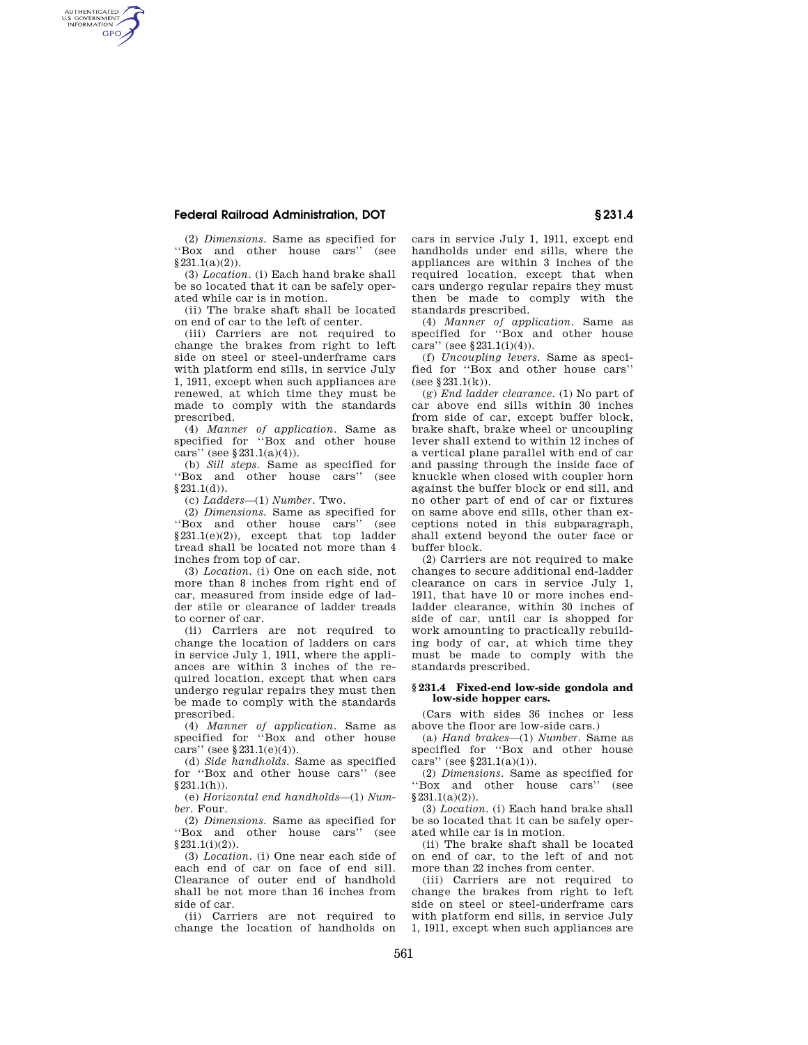## **Federal Railroad Administration, DOT § 231.4**

AUTHENTICATED<br>U.S. GOVERNMENT<br>INFORMATION **GPO** 

(2) *Dimensions.* Same as specified for ''Box and other house cars'' (see §231.1(a)(2)).

(3) *Location.* (i) Each hand brake shall be so located that it can be safely operated while car is in motion.

(ii) The brake shaft shall be located on end of car to the left of center.

(iii) Carriers are not required to change the brakes from right to left side on steel or steel-underframe cars with platform end sills, in service July 1, 1911, except when such appliances are renewed, at which time they must be made to comply with the standards prescribed.

(4) *Manner of application.* Same as specified for "Box and other house cars'' (see  $§231.1(a)(4)$ ).

(b) *Sill steps.* Same as specified for "Box and other house cars"  $§231.1(d)$ .

(c) *Ladders*—(1) *Number.* Two.

(2) *Dimensions.* Same as specified for ''Box and other house cars'' (see  $§231.1(e)(2)$ , except that top ladder tread shall be located not more than 4 inches from top of car.

(3) *Location.* (i) One on each side, not more than 8 inches from right end of car, measured from inside edge of ladder stile or clearance of ladder treads to corner of car.

(ii) Carriers are not required to change the location of ladders on cars in service July 1, 1911, where the appliances are within 3 inches of the required location, except that when cars undergo regular repairs they must then be made to comply with the standards prescribed.

(4) *Manner of application.* Same as specified for ''Box and other house cars'' (see  $§231.1(e)(4)$ ).

(d) *Side handholds.* Same as specified for ''Box and other house cars'' (see  $$231.1(h)$ 

(e) *Horizontal end handholds*—(1) *Number.* Four.

(2) *Dimensions.* Same as specified for ''Box and other house cars'' (see §231.1(i)(2)).

(3) *Location.* (i) One near each side of each end of car on face of end sill. Clearance of outer end of handhold shall be not more than 16 inches from side of car.

(ii) Carriers are not required to change the location of handholds on cars in service July 1, 1911, except end handholds under end sills, where the appliances are within 3 inches of the required location, except that when cars undergo regular repairs they must then be made to comply with the standards prescribed.

(4) *Manner of application.* Same as specified for "Box and other house cars'' (see §231.1(i)(4)).

(f) *Uncoupling levers.* Same as specified for ''Box and other house cars'' (see §231.1(k)).

(g) *End ladder clearance.* (1) No part of car above end sills within 30 inches from side of car, except buffer block, brake shaft, brake wheel or uncoupling lever shall extend to within 12 inches of a vertical plane parallel with end of car and passing through the inside face of knuckle when closed with coupler horn against the buffer block or end sill, and no other part of end of car or fixtures on same above end sills, other than exceptions noted in this subparagraph, shall extend beyond the outer face or buffer block.

(2) Carriers are not required to make changes to secure additional end-ladder clearance on cars in service July 1, 1911, that have 10 or more inches endladder clearance, within 30 inches of side of car, until car is shopped for work amounting to practically rebuilding body of car, at which time they must be made to comply with the standards prescribed.

## **§ 231.4 Fixed-end low-side gondola and low-side hopper cars.**

(Cars with sides 36 inches or less above the floor are low-side cars.)

(a) *Hand brakes*—(1) *Number.* Same as specified for ''Box and other house cars'' (see §231.1(a)(1)).

(2) *Dimensions.* Same as specified for ''Box and other house cars'' (see  $§ 231.1(a)(2)).$ 

(3) *Location.* (i) Each hand brake shall be so located that it can be safely operated while car is in motion.

(ii) The brake shaft shall be located on end of car, to the left of and not more than 22 inches from center.

(iii) Carriers are not required to change the brakes from right to left side on steel or steel-underframe cars with platform end sills, in service July 1, 1911, except when such appliances are